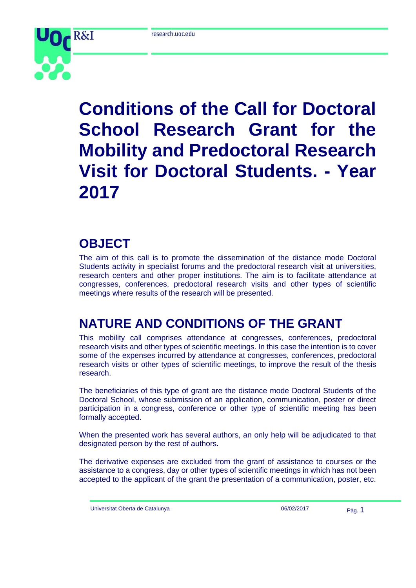

# **Conditions of the Call for Doctoral School Research Grant for the Mobility and Predoctoral Research Visit for Doctoral Students. - Year 2017**

#### **OBJECT**

The aim of this call is to promote the dissemination of the distance mode Doctoral Students activity in specialist forums and the predoctoral research visit at universities, research centers and other proper institutions. The aim is to facilitate attendance at congresses, conferences, predoctoral research visits and other types of scientific meetings where results of the research will be presented.

### **NATURE AND CONDITIONS OF THE GRANT**

This mobility call comprises attendance at congresses, conferences, predoctoral research visits and other types of scientific meetings. In this case the intention is to cover some of the expenses incurred by attendance at congresses, conferences, predoctoral research visits or other types of scientific meetings, to improve the result of the thesis research.

The beneficiaries of this type of grant are the distance mode Doctoral Students of the Doctoral School, whose submission of an application, communication, poster or direct participation in a congress, conference or other type of scientific meeting has been formally accepted.

When the presented work has several authors, an only help will be adjudicated to that designated person by the rest of authors.

The derivative expenses are excluded from the grant of assistance to courses or the assistance to a congress, day or other types of scientific meetings in which has not been accepted to the applicant of the grant the presentation of a communication, poster, etc.

Universitat Oberta de Catalunya 06/02/2017 Pàg. 1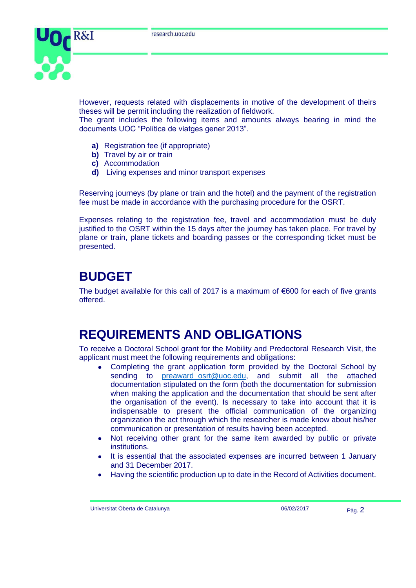

However, requests related with displacements in motive of the development of theirs theses will be permit including the realization of fieldwork.

The grant includes the following items and amounts always bearing in mind the documents UOC "Política de viatges gener 2013".

- **a)** Registration fee (if appropriate)
- **b)** Travel by air or train
- **c)** Accommodation
- **d)** Living expenses and minor transport expenses

Reserving journeys (by plane or train and the hotel) and the payment of the registration fee must be made in accordance with the purchasing procedure for the OSRT.

Expenses relating to the registration fee, travel and accommodation must be duly justified to the OSRT within the 15 days after the journey has taken place. For travel by plane or train, plane tickets and boarding passes or the corresponding ticket must be presented.

#### **BUDGET**

The budget available for this call of 2017 is a maximum of  $€600$  for each of five grants offered.

### **REQUIREMENTS AND OBLIGATIONS**

To receive a Doctoral School grant for the Mobility and Predoctoral Research Visit, the applicant must meet the following requirements and obligations:

- Completing the grant application form provided by the Doctoral School by sending to [preaward\\_osrt@uoc.edu,](mailto:preaward_osrt@uoc.edu) and submit all the attached documentation stipulated on the form (both the documentation for submission when making the application and the documentation that should be sent after the organisation of the event). Is necessary to take into account that it is indispensable to present the official communication of the organizing organization the act through which the researcher is made know about his/her communication or presentation of results having been accepted.
- Not receiving other grant for the same item awarded by public or private institutions.
- It is essential that the associated expenses are incurred between 1 January and 31 December 2017.
- Having the scientific production up to date in the Record of Activities document.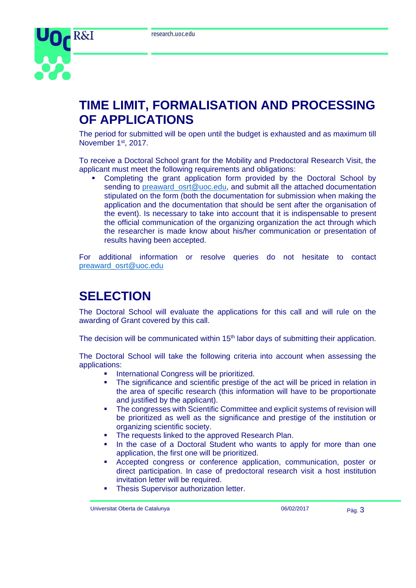

#### **TIME LIMIT, FORMALISATION AND PROCESSING OF APPLICATIONS**

The period for submitted will be open until the budget is exhausted and as maximum till November 1<sup>st</sup>, 2017.

To receive a Doctoral School grant for the Mobility and Predoctoral Research Visit, the applicant must meet the following requirements and obligations:

 Completing the grant application form provided by the Doctoral School by sending to preaward osrt@uoc.edu, and submit all the attached documentation stipulated on the form (both the documentation for submission when making the application and the documentation that should be sent after the organisation of the event). Is necessary to take into account that it is indispensable to present the official communication of the organizing organization the act through which the researcher is made know about his/her communication or presentation of results having been accepted.

For additional information or resolve queries do not hesitate to contact [preaward\\_osrt@uoc.edu](mailto:preaward_osrt@uoc.edu)

### **SELECTION**

The Doctoral School will evaluate the applications for this call and will rule on the awarding of Grant covered by this call.

The decision will be communicated within 15<sup>th</sup> labor days of submitting their application.

The Doctoral School will take the following criteria into account when assessing the applications:

- International Congress will be prioritized.
- The significance and scientific prestige of the act will be priced in relation in the area of specific research (this information will have to be proportionate and justified by the applicant).
- The congresses with Scientific Committee and explicit systems of revision will be prioritized as well as the significance and prestige of the institution or organizing scientific society.
- The requests linked to the approved Research Plan.
- In the case of a Doctoral Student who wants to apply for more than one application, the first one will be prioritized.
- Accepted congress or conference application, communication, poster or direct participation. In case of predoctoral research visit a host institution invitation letter will be required.
- Thesis Supervisor authorization letter.